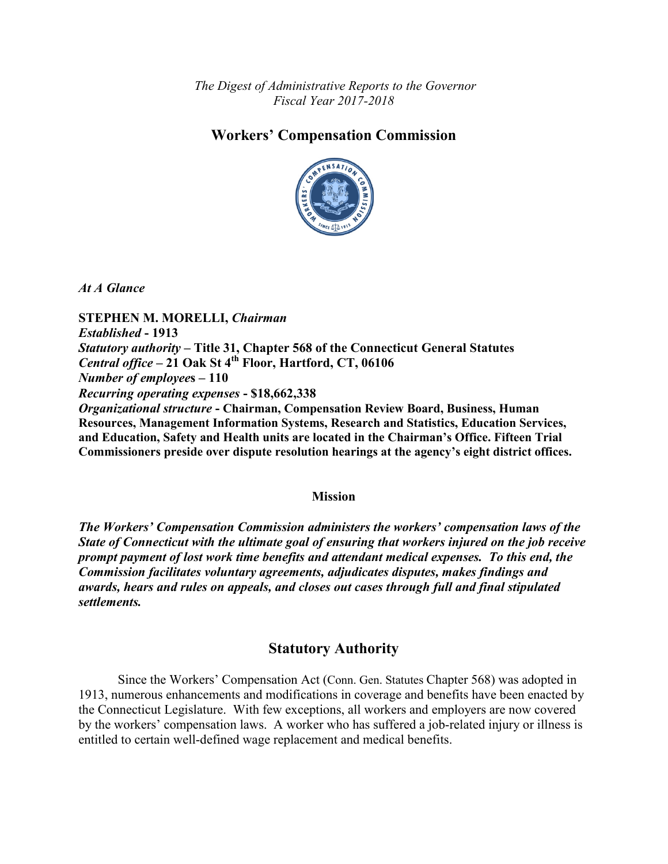*The Digest of Administrative Reports to the Governor Fiscal Year 2017-2018*

## **Workers' Compensation Commission**



*At A Glance*

**STEPHEN M. MORELLI,** *Chairman Established* **- 1913** *Statutory authority* **– Title 31, Chapter 568 of the Connecticut General Statutes**  *Central office* **– 21 Oak St 4th Floor, Hartford, CT, 06106** *Number of employee***s – 110** *Recurring operating expenses* **- \$18,662,338** *Organizational structure* **- Chairman, Compensation Review Board, Business, Human Resources, Management Information Systems, Research and Statistics, Education Services, and Education, Safety and Health units are located in the Chairman's Office. Fifteen Trial Commissioners preside over dispute resolution hearings at the agency's eight district offices.**

#### **Mission**

*The Workers' Compensation Commission administers the workers' compensation laws of the State of Connecticut with the ultimate goal of ensuring that workers injured on the job receive prompt payment of lost work time benefits and attendant medical expenses. To this end, the Commission facilitates voluntary agreements, adjudicates disputes, makes findings and awards, hears and rules on appeals, and closes out cases through full and final stipulated settlements.*

### **Statutory Authority**

Since the Workers' Compensation Act (Conn. Gen. Statutes Chapter 568) was adopted in 1913, numerous enhancements and modifications in coverage and benefits have been enacted by the Connecticut Legislature. With few exceptions, all workers and employers are now covered by the workers' compensation laws. A worker who has suffered a job-related injury or illness is entitled to certain well-defined wage replacement and medical benefits.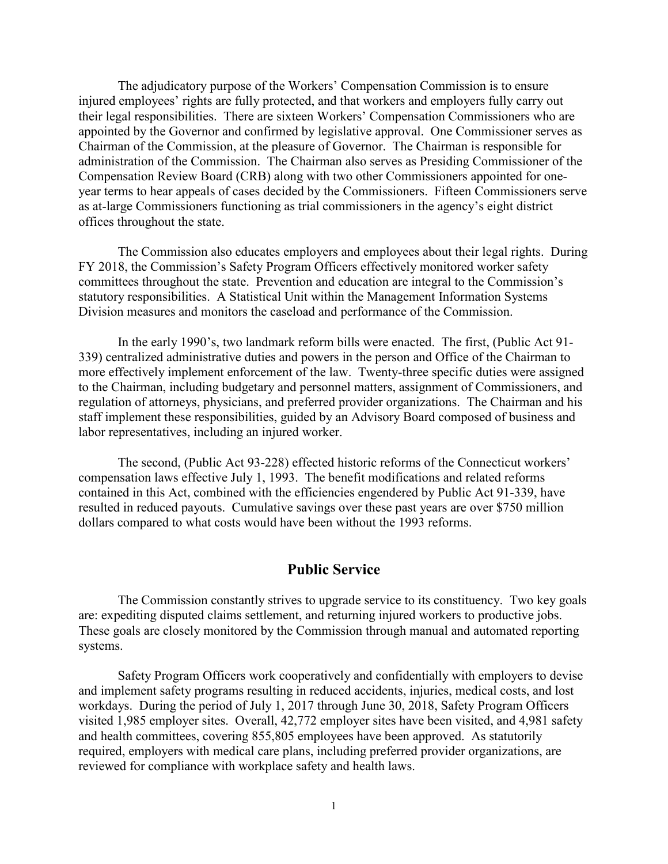The adjudicatory purpose of the Workers' Compensation Commission is to ensure injured employees' rights are fully protected, and that workers and employers fully carry out their legal responsibilities. There are sixteen Workers' Compensation Commissioners who are appointed by the Governor and confirmed by legislative approval. One Commissioner serves as Chairman of the Commission, at the pleasure of Governor. The Chairman is responsible for administration of the Commission. The Chairman also serves as Presiding Commissioner of the Compensation Review Board (CRB) along with two other Commissioners appointed for oneyear terms to hear appeals of cases decided by the Commissioners. Fifteen Commissioners serve as at-large Commissioners functioning as trial commissioners in the agency's eight district offices throughout the state.

The Commission also educates employers and employees about their legal rights. During FY 2018, the Commission's Safety Program Officers effectively monitored worker safety committees throughout the state. Prevention and education are integral to the Commission's statutory responsibilities. A Statistical Unit within the Management Information Systems Division measures and monitors the caseload and performance of the Commission.

In the early 1990's, two landmark reform bills were enacted. The first, (Public Act 91- 339) centralized administrative duties and powers in the person and Office of the Chairman to more effectively implement enforcement of the law. Twenty-three specific duties were assigned to the Chairman, including budgetary and personnel matters, assignment of Commissioners, and regulation of attorneys, physicians, and preferred provider organizations. The Chairman and his staff implement these responsibilities, guided by an Advisory Board composed of business and labor representatives, including an injured worker.

The second, (Public Act 93-228) effected historic reforms of the Connecticut workers' compensation laws effective July 1, 1993. The benefit modifications and related reforms contained in this Act, combined with the efficiencies engendered by Public Act 91-339, have resulted in reduced payouts. Cumulative savings over these past years are over \$750 million dollars compared to what costs would have been without the 1993 reforms.

#### **Public Service**

The Commission constantly strives to upgrade service to its constituency. Two key goals are: expediting disputed claims settlement, and returning injured workers to productive jobs. These goals are closely monitored by the Commission through manual and automated reporting systems.

Safety Program Officers work cooperatively and confidentially with employers to devise and implement safety programs resulting in reduced accidents, injuries, medical costs, and lost workdays. During the period of July 1, 2017 through June 30, 2018, Safety Program Officers visited 1,985 employer sites. Overall, 42,772 employer sites have been visited, and 4,981 safety and health committees, covering 855,805 employees have been approved. As statutorily required, employers with medical care plans, including preferred provider organizations, are reviewed for compliance with workplace safety and health laws.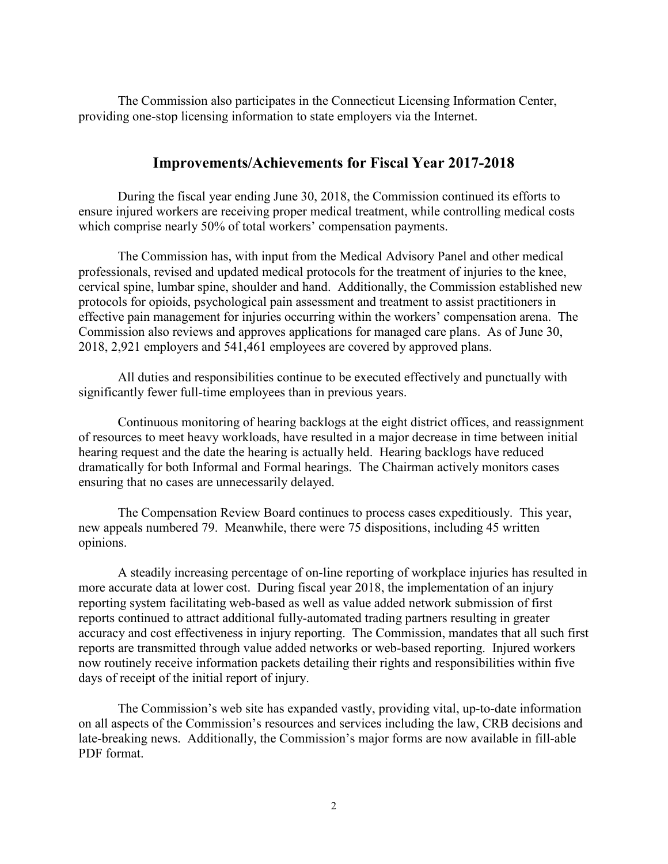The Commission also participates in the Connecticut Licensing Information Center, providing one-stop licensing information to state employers via the Internet.

### **Improvements/Achievements for Fiscal Year 2017-2018**

During the fiscal year ending June 30, 2018, the Commission continued its efforts to ensure injured workers are receiving proper medical treatment, while controlling medical costs which comprise nearly 50% of total workers' compensation payments.

The Commission has, with input from the Medical Advisory Panel and other medical professionals, revised and updated medical protocols for the treatment of injuries to the knee, cervical spine, lumbar spine, shoulder and hand. Additionally, the Commission established new protocols for opioids, psychological pain assessment and treatment to assist practitioners in effective pain management for injuries occurring within the workers' compensation arena. The Commission also reviews and approves applications for managed care plans. As of June 30, 2018, 2,921 employers and 541,461 employees are covered by approved plans.

All duties and responsibilities continue to be executed effectively and punctually with significantly fewer full-time employees than in previous years.

Continuous monitoring of hearing backlogs at the eight district offices, and reassignment of resources to meet heavy workloads, have resulted in a major decrease in time between initial hearing request and the date the hearing is actually held. Hearing backlogs have reduced dramatically for both Informal and Formal hearings. The Chairman actively monitors cases ensuring that no cases are unnecessarily delayed.

The Compensation Review Board continues to process cases expeditiously. This year, new appeals numbered 79. Meanwhile, there were 75 dispositions, including 45 written opinions.

A steadily increasing percentage of on-line reporting of workplace injuries has resulted in more accurate data at lower cost. During fiscal year 2018, the implementation of an injury reporting system facilitating web-based as well as value added network submission of first reports continued to attract additional fully-automated trading partners resulting in greater accuracy and cost effectiveness in injury reporting. The Commission, mandates that all such first reports are transmitted through value added networks or web-based reporting. Injured workers now routinely receive information packets detailing their rights and responsibilities within five days of receipt of the initial report of injury.

The Commission's web site has expanded vastly, providing vital, up-to-date information on all aspects of the Commission's resources and services including the law, CRB decisions and late-breaking news. Additionally, the Commission's major forms are now available in fill-able PDF format.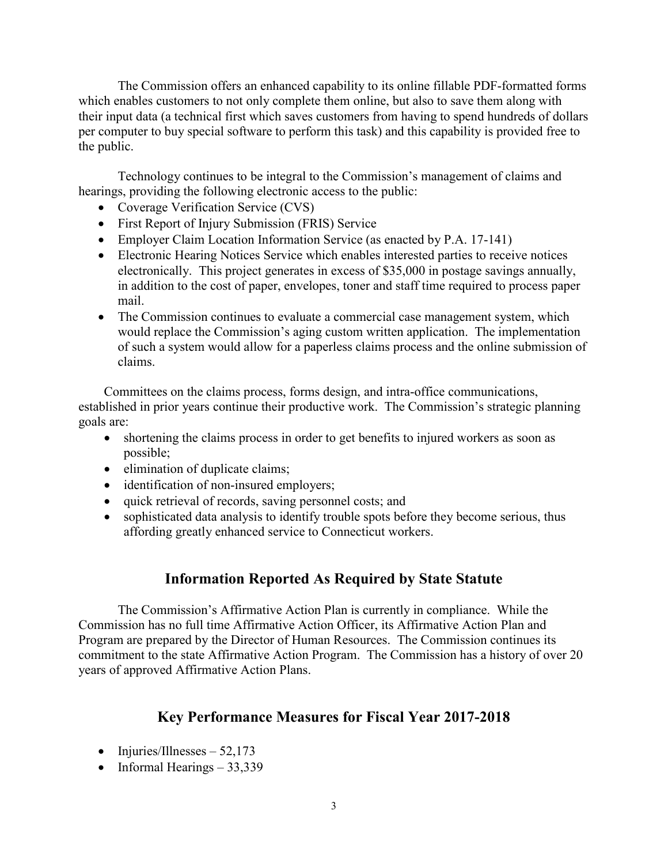The Commission offers an enhanced capability to its online fillable PDF-formatted forms which enables customers to not only complete them online, but also to save them along with their input data (a technical first which saves customers from having to spend hundreds of dollars per computer to buy special software to perform this task) and this capability is provided free to the public.

Technology continues to be integral to the Commission's management of claims and hearings, providing the following electronic access to the public:

- Coverage Verification Service (CVS)
- First Report of Injury Submission (FRIS) Service
- Employer Claim Location Information Service (as enacted by P.A. 17-141)
- Electronic Hearing Notices Service which enables interested parties to receive notices electronically. This project generates in excess of \$35,000 in postage savings annually, in addition to the cost of paper, envelopes, toner and staff time required to process paper mail.
- The Commission continues to evaluate a commercial case management system, which would replace the Commission's aging custom written application. The implementation of such a system would allow for a paperless claims process and the online submission of claims.

Committees on the claims process, forms design, and intra-office communications, established in prior years continue their productive work. The Commission's strategic planning goals are:

- shortening the claims process in order to get benefits to injured workers as soon as possible;
- elimination of duplicate claims;
- identification of non-insured employers;
- quick retrieval of records, saving personnel costs; and
- sophisticated data analysis to identify trouble spots before they become serious, thus affording greatly enhanced service to Connecticut workers.

# **Information Reported As Required by State Statute**

The Commission's Affirmative Action Plan is currently in compliance. While the Commission has no full time Affirmative Action Officer, its Affirmative Action Plan and Program are prepared by the Director of Human Resources. The Commission continues its commitment to the state Affirmative Action Program. The Commission has a history of over 20 years of approved Affirmative Action Plans.

# **Key Performance Measures for Fiscal Year 2017-2018**

- Injuries/Illnesses  $52,173$
- Informal Hearings 33,339